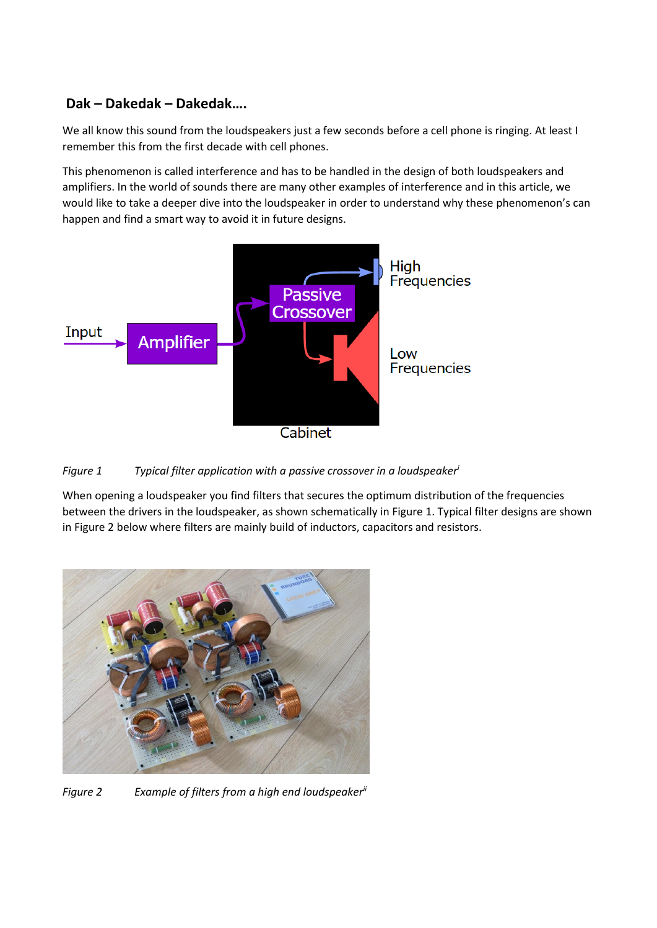## **Dak – Dakedak – Dakedak….**

We all know this sound from the loudspeakers just a few seconds before a cell phone is ringing. At least I remember this from the first decade with cell phones.

This phenomenon is called interference and has to be handled in the design of both loudspeakers and amplifiers. In the world of sounds there are many other examples of interference and in this article, we would like to take a deeper dive into the loudspeaker in order to understand why these phenomenon's can happen and find a smart way to avoid it in future designs.



## *Figure 1 Typical filter application with a passive crossover in a loudspeaker<sup>i</sup>*

When opening a loudspeaker you find filters that secures the optimum distribution of the frequencies between the drivers in the loudspeaker, as shown schematically in Figure 1. Typical filter designs are shown in Figure 2 below where filters are mainly build of inductors, capacitors and resistors.



*Figure 2 Example of filters from a high end loudspeakerii*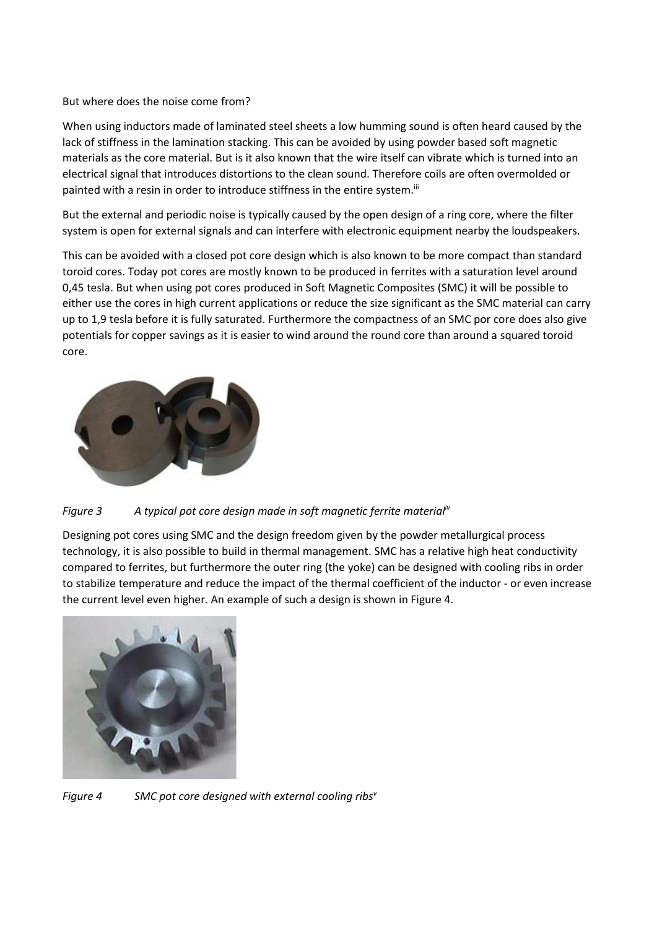## But where does the noise come from?

When using inductors made of laminated steel sheets a low humming sound is often heard caused by the lack of stiffness in the lamination stacking. This can be avoided by using powder based soft magnetic materials as the core material. But is it also known that the wire itself can vibrate which is turned into an electrical signal that introduces distortions to the clean sound. Therefore coils are often overmolded or painted with a resin in order to introduce stiffness in the entire system.<sup>iii</sup>

But the external and periodic noise is typically caused by the open design of a ring core, where the filter system is open for external signals and can interfere with electronic equipment nearby the loudspeakers.

This can be avoided with a closed pot core design which is also known to be more compact than standard toroid cores. Today pot cores are mostly known to be produced in ferrites with a saturation level around 0,45 tesla. But when using pot cores produced in Soft Magnetic Composites (SMC) it will be possible to either use the cores in high current applications or reduce the size significant as the SMC material can carry up to 1,9 tesla before it is fully saturated. Furthermore the compactness of an SMC por core does also give potentials for copper savings as it is easier to wind around the round core than around a squared toroid core.



*Figure 3 A typical pot core design made in soft magnetic ferrite materialiv*

Designing pot cores using SMC and the design freedom given by the powder metallurgical process technology, it is also possible to build in thermal management. SMC has a relative high heat conductivity compared to ferrites, but furthermore the outer ring (the yoke) can be designed with cooling ribs in order to stabilize temperature and reduce the impact of the thermal coefficient of the inductor - or even increase the current level even higher. An example of such a design is shown in Figure 4.



*Figure 4 SMC pot core designed with external cooling ribs<sup>v</sup>*